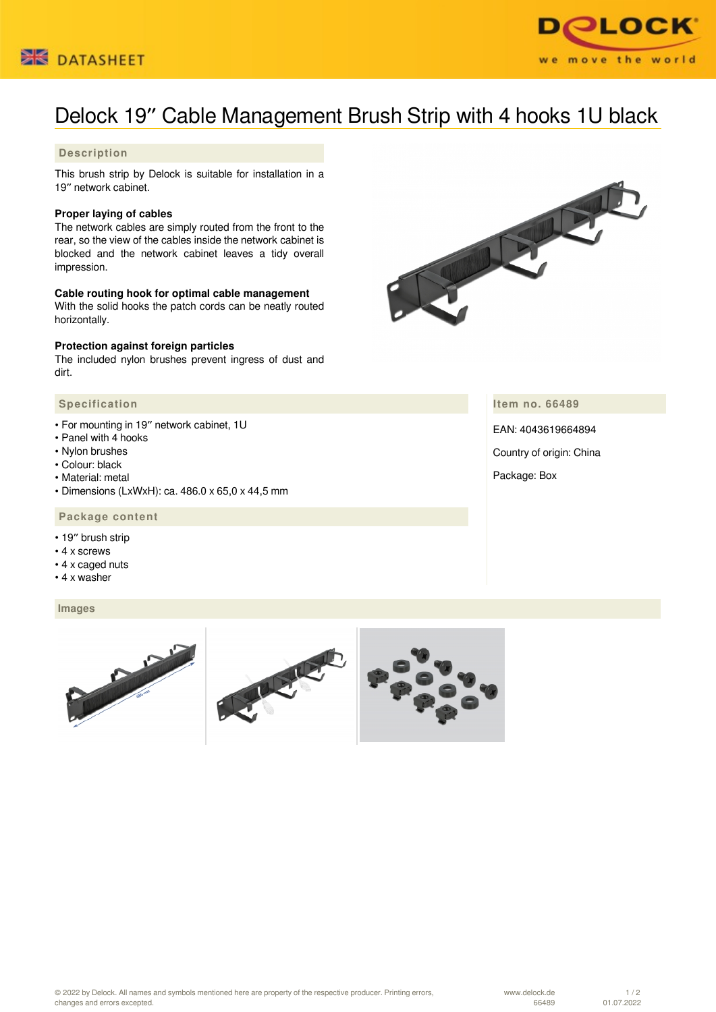



# Delock 19″ Cable Management Brush Strip with 4 hooks 1U black

## **Description**

This brush strip by Delock is suitable for installation in a 19″ network cabinet.

#### **Proper laying of cables**

The network cables are simply routed from the front to the rear, so the view of the cables inside the network cabinet is blocked and the network cabinet leaves a tidy overall impression.

#### **Cable routing hook for optimal cable management**

With the solid hooks the patch cords can be neatly routed horizontally.

#### **Protection against foreign particles**

The included nylon brushes prevent ingress of dust and dirt.

#### **Specification**

- For mounting in 19″ network cabinet, 1U
- Panel with 4 hooks
- Nylon brushes
- Colour: black
- Material: metal
- Dimensions (LxWxH): ca. 486.0 x 65,0 x 44,5 mm

### **Package content**

- 19″ brush strip
- 4 x screws
- 4 x caged nuts
- 4 x washer

#### **Images**



**Item no. 66489**

EAN: 4043619664894

Country of origin: China

Package: Box